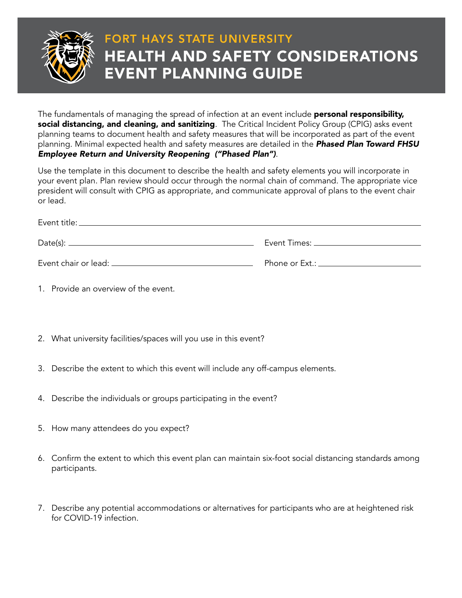

## FORT HAYS STATE UNIVERSITY HEALTH AND SAFETY CONSIDERATIONS EVENT PLANNING GUIDE

The fundamentals of managing the spread of infection at an event include **personal responsibility,** social distancing, and cleaning, and sanitizing. The Critical Incident Policy Group (CPIG) asks event planning teams to document health and safety measures that will be incorporated as part of the event planning. Minimal expected health and safety measures are detailed in the *Phased Plan Toward FHSU Employee Return and University Reopening ("Phased Plan")*.

Use the template in this document to describe the health and safety elements you will incorporate in your event plan. Plan review should occur through the normal chain of command. The appropriate vice president will consult with CPIG as appropriate, and communicate approval of plans to the event chair or lead.

|                        | Event Times: ____________________ |
|------------------------|-----------------------------------|
| Event chair or lead: _ | Phone or Ext.: _________________  |

- 1. Provide an overview of the event.
- 2. What university facilities/spaces will you use in this event?
- 3. Describe the extent to which this event will include any off-campus elements.
- 4. Describe the individuals or groups participating in the event?
- 5. How many attendees do you expect?
- 6. Confirm the extent to which this event plan can maintain six-foot social distancing standards among participants.
- 7. Describe any potential accommodations or alternatives for participants who are at heightened risk for COVID-19 infection.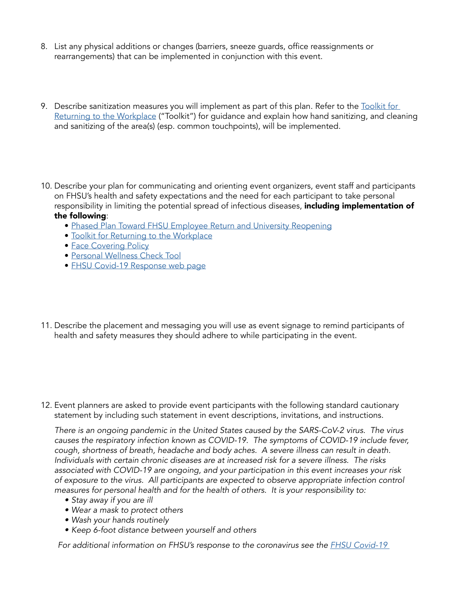- 8. List any physical additions or changes (barriers, sneeze guards, office reassignments or rearrangements) that can be implemented in conjunction with this event.
- 9. Describe sanitization measures you will implement as part of this plan. Refer to the Toolkit for [Returning to the Workplace](https://fhsu.edu/covid-19-response/return-to-work/index.html) ("Toolkit") for guidance and explain how hand sanitizing, and cleaning and sanitizing of the area(s) (esp. common touchpoints), will be implemented.
- 10. Describe your plan for communicating and orienting event organizers, event staff and participants on FHSU's health and safety expectations and the need for each participant to take personal responsibility in limiting the potential spread of infectious diseases, including implementation of the following:
	- - [Phased Plan Toward FHSU Employee Return and University Reopening](https://fhsu.edu/covid-19-response/documents/fhsu-reopening-plan-phase3.pdf)
		- [Toolkit for Returning to the Workplace](https://fhsu.edu/covid-19-response/return-to-work/index.html)
		- [Face Covering Policy](https://fhsu.edu/covid-19-response/documents/reopening-plan-phase3.pdf)
		- [Personal Wellness Check Tool](https://fhsu.edu/covid-19-response/documents/personal-wellness-check.pdf)
		- [FHSU Covid-19 Response web page](http://FHSU Covid-19 Response web page)
- 11. Describe the placement and messaging you will use as event signage to remind participants of health and safety measures they should adhere to while participating in the event.

12. Event planners are asked to provide event participants with the following standard cautionary statement by including such statement in event descriptions, invitations, and instructions.

*There is an ongoing pandemic in the United States caused by the SARS-CoV-2 virus. The virus causes the respiratory infection known as COVID-19. The symptoms of COVID-19 include fever, cough, shortness of breath, headache and body aches. A severe illness can result in death. Individuals with certain chronic diseases are at increased risk for a severe illness. The risks associated with COVID-19 are ongoing, and your participation in this event increases your risk of exposure to the virus. All participants are expected to observe appropriate infection control measures for personal health and for the health of others. It is your responsibility to:*

- *• Stay away if you are ill*
- *• Wear a mask to protect others*
- *• Wash your hands routinely*
- *• Keep 6-foot distance between yourself and others*

*For additional information on FHSU's response to the coronavirus see the FHSU Covid-19*